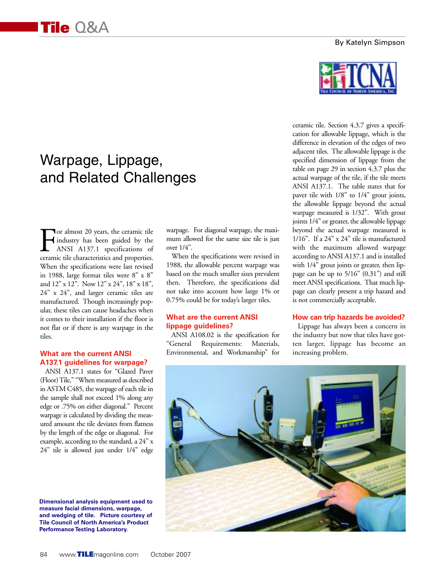#### By Katelyn Simpson



# Warpage, Lippage, and Related Challenges

For almost 20 years, the ceramic tile<br>industry has been guided by the<br>ANSI A137.1 specifications of<br>ceramic tile characteristics and properties. industry has been guided by the ANSI A137.1 specifications of ceramic tile characteristics and properties. When the specifications were last revised in 1988, large format tiles were 8" x 8" and 12" x 12". Now 12" x 24", 18" x 18", 24" x 24", and larger ceramic tiles are manufactured. Though increasingly popular, these tiles can cause headaches when it comes to their installation if the floor is not flat or if there is any warpage in the tiles.

#### **What are the current ANSI A137.1 guidelines for warpage?**

ANSI A137.1 states for "Glazed Paver (Floor) Tile," "When measured as described in ASTM C485, the warpage of each tile in the sample shall not exceed 1% along any edge or .75% on either diagonal." Percent warpage is calculated by dividing the measured amount the tile deviates from flatness by the length of the edge or diagonal. For example, according to the standard, a 24" x 24" tile is allowed just under 1/4" edge

**Dimensional analysis equipment used to measure facial dimensions, warpage, and wedging of tile. Picture courtesy of Tile Council of North America's Product Performance Testing Laboratory.**

warpage. For diagonal warpage, the maximum allowed for the same size tile is just over 1/4".

When the specifications were revised in 1988, the allowable percent warpage was based on the much smaller sizes prevalent then. Therefore, the specifications did not take into account how large 1% or 0.75% could be for today's larger tiles.

#### **What are the current ANSI lippage guidelines?**

ANSI A108.02 is the specification for "General Requirements: Materials, Environmental, and Workmanship" for

ceramic tile. Section 4.3.7 gives a specification for allowable lippage, which is the difference in elevation of the edges of two adjacent tiles. The allowable lippage is the specified dimension of lippage from the table on page 29 in section 4.3.7 plus the actual warpage of the tile, if the tile meets ANSI A137.1. The table states that for paver tile with 1/8" to 1/4" grout joints, the allowable lippage beyond the actual warpage measured is 1/32". With grout joints 1/4" or greater, the allowable lippage beyond the actual warpage measured is 1/16". If a 24" x 24" tile is manufactured with the maximum allowed warpage according to ANSI A137.1 and is installed with  $1/4$ " grout joints or greater, then lippage can be up to 5/16" (0.31") and still meet ANSI specifications. That much lippage can clearly present a trip hazard and is not commercially acceptable.

#### **How can trip hazards be avoided?**

Lippage has always been a concern in the industry but now that tiles have gotten larger, lippage has become an increasing problem.